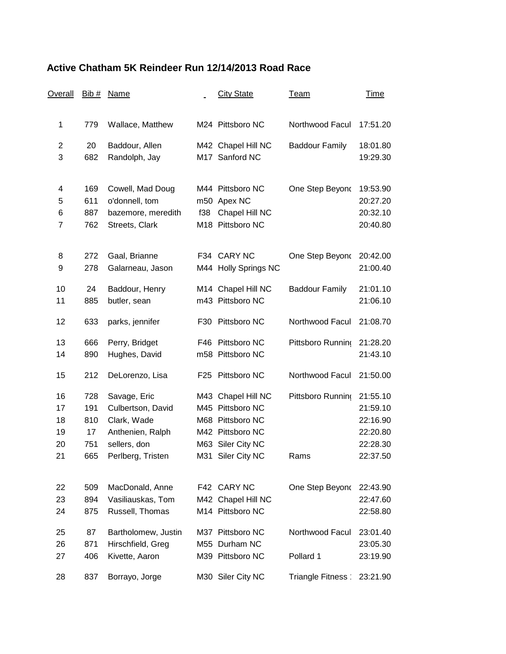## **Active Chatham 5K Reindeer Run 12/14/2013 Road Race**

| Overall        | Bib # | Name                |     | <b>City State</b>    | <u>Team</u>           | <u>Time</u> |
|----------------|-------|---------------------|-----|----------------------|-----------------------|-------------|
| 1              | 779   | Wallace, Matthew    |     | M24 Pittsboro NC     | Northwood Facul       | 17:51.20    |
|                |       |                     |     |                      |                       |             |
| $\overline{c}$ | 20    | Baddour, Allen      |     | M42 Chapel Hill NC   | <b>Baddour Family</b> | 18:01.80    |
| 3              | 682   | Randolph, Jay       |     | M17 Sanford NC       |                       | 19:29.30    |
| 4              | 169   | Cowell, Mad Doug    |     | M44 Pittsboro NC     | One Step Beyond       | 19:53.90    |
| 5              | 611   | o'donnell, tom      |     | m50 Apex NC          |                       | 20:27.20    |
| 6              | 887   | bazemore, meredith  | f38 | Chapel Hill NC       |                       | 20:32.10    |
| $\overline{7}$ | 762   | Streets, Clark      |     | M18 Pittsboro NC     |                       | 20:40.80    |
| 8              | 272   | Gaal, Brianne       |     | F34 CARY NC          | One Step Beyond       | 20:42.00    |
| 9              | 278   | Galarneau, Jason    |     | M44 Holly Springs NC |                       | 21:00.40    |
| 10             | 24    | Baddour, Henry      |     | M14 Chapel Hill NC   | <b>Baddour Family</b> | 21:01.10    |
| 11             | 885   | butler, sean        |     | m43 Pittsboro NC     |                       | 21:06.10    |
| 12             | 633   | parks, jennifer     |     | F30 Pittsboro NC     | Northwood Facul       | 21:08.70    |
| 13             | 666   | Perry, Bridget      |     | F46 Pittsboro NC     | Pittsboro Running     | 21:28.20    |
| 14             | 890   | Hughes, David       |     | m58 Pittsboro NC     |                       | 21:43.10    |
| 15             | 212   | DeLorenzo, Lisa     |     | F25 Pittsboro NC     | Northwood Facul       | 21:50.00    |
| 16             | 728   | Savage, Eric        |     | M43 Chapel Hill NC   | Pittsboro Running     | 21:55.10    |
| 17             | 191   | Culbertson, David   |     | M45 Pittsboro NC     |                       | 21:59.10    |
| 18             | 810   | Clark, Wade         |     | M68 Pittsboro NC     |                       | 22:16.90    |
| 19             | 17    | Anthenien, Ralph    |     | M42 Pittsboro NC     |                       | 22:20.80    |
| 20             | 751   | sellers, don        |     | M63 Siler City NC    |                       | 22:28.30    |
| 21             | 665   | Perlberg, Tristen   | M31 | Siler City NC        | Rams                  | 22:37.50    |
| 22             | 509   | MacDonald, Anne     |     | F42 CARY NC          | One Step Beyond       | 22:43.90    |
| 23             | 894   | Vasiliauskas, Tom   |     | M42 Chapel Hill NC   |                       | 22:47.60    |
| 24             | 875   | Russell, Thomas     |     | M14 Pittsboro NC     |                       | 22:58.80    |
| 25             | 87    | Bartholomew, Justin |     | M37 Pittsboro NC     | Northwood Facul       | 23:01.40    |
| 26             | 871   | Hirschfield, Greg   |     | M55 Durham NC        |                       | 23:05.30    |
| 27             | 406   | Kivette, Aaron      |     | M39 Pittsboro NC     | Pollard 1             | 23:19.90    |
| 28             | 837   | Borrayo, Jorge      |     | M30 Siler City NC    | Triangle Fitness      | 23:21.90    |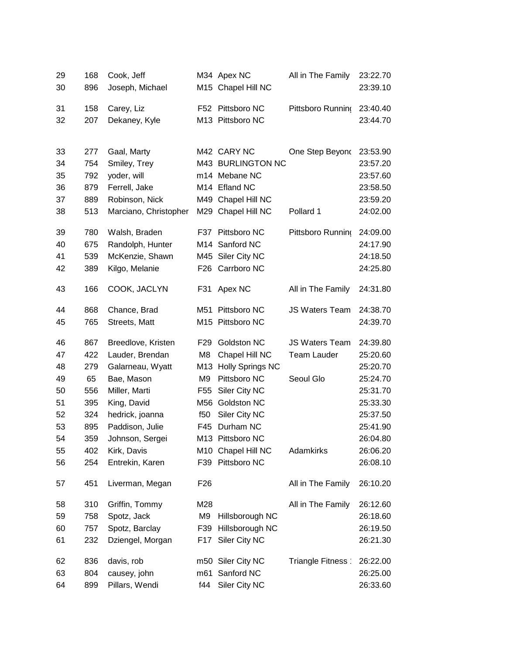| 29 | 168        | Cook, Jeff            |                 | M34 Apex NC                      | All in The Family     | 23:22.70             |
|----|------------|-----------------------|-----------------|----------------------------------|-----------------------|----------------------|
| 30 | 896        | Joseph, Michael       |                 | M15 Chapel Hill NC               |                       | 23:39.10             |
|    |            |                       |                 |                                  |                       |                      |
| 31 | 158        | Carey, Liz            |                 | F52 Pittsboro NC                 | Pittsboro Running     | 23:40.40             |
| 32 | 207        | Dekaney, Kyle         |                 | M13 Pittsboro NC                 |                       | 23:44.70             |
|    |            |                       |                 |                                  |                       |                      |
| 33 | 277        | Gaal, Marty           |                 | M42 CARY NC<br>M43 BURLINGTON NC | One Step Beyond       | 23:53.90             |
| 34 | 754<br>792 | Smiley, Trey          |                 | m14 Mebane NC                    |                       | 23:57.20<br>23:57.60 |
| 35 |            | yoder, will           |                 | M14 Efland NC                    |                       |                      |
| 36 | 879        | Ferrell, Jake         |                 |                                  |                       | 23:58.50             |
| 37 | 889        | Robinson, Nick        |                 | M49 Chapel Hill NC               |                       | 23:59.20             |
| 38 | 513        | Marciano, Christopher |                 | M29 Chapel Hill NC               | Pollard 1             | 24:02.00             |
| 39 | 780        | Walsh, Braden         | F37             | Pittsboro NC                     | Pittsboro Running     | 24:09.00             |
| 40 | 675        | Randolph, Hunter      |                 | M14 Sanford NC                   |                       | 24:17.90             |
| 41 | 539        | McKenzie, Shawn       |                 | M45 Siler City NC                |                       | 24:18.50             |
| 42 | 389        | Kilgo, Melanie        | F26             | Carrboro NC                      |                       | 24:25.80             |
| 43 | 166        | COOK, JACLYN          | F31             | Apex NC                          | All in The Family     | 24:31.80             |
| 44 | 868        | Chance, Brad          |                 | M51 Pittsboro NC                 | <b>JS Waters Team</b> | 24:38.70             |
| 45 | 765        | Streets, Matt         |                 | M15 Pittsboro NC                 |                       | 24:39.70             |
| 46 | 867        | Breedlove, Kristen    | F <sub>29</sub> | Goldston NC                      | <b>JS Waters Team</b> | 24:39.80             |
| 47 | 422        | Lauder, Brendan       | M <sub>8</sub>  | Chapel Hill NC                   | <b>Team Lauder</b>    | 25:20.60             |
| 48 | 279        | Galarneau, Wyatt      |                 | M13 Holly Springs NC             |                       | 25:20.70             |
| 49 | 65         | Bae, Mason            | M <sub>9</sub>  | Pittsboro NC                     | Seoul Glo             | 25:24.70             |
| 50 | 556        | Miller, Marti         | F <sub>55</sub> | Siler City NC                    |                       | 25:31.70             |
| 51 | 395        | King, David           | M56             | Goldston NC                      |                       | 25:33.30             |
| 52 | 324        | hedrick, joanna       | f50             | Siler City NC                    |                       | 25:37.50             |
| 53 | 895        | Paddison, Julie       |                 | F45 Durham NC                    |                       | 25:41.90             |
| 54 | 359        | Johnson, Sergei       |                 | M13 Pittsboro NC                 |                       | 26:04.80             |
| 55 | 402        | Kirk, Davis           |                 | M10 Chapel Hill NC               | Adamkirks             | 26:06.20             |
| 56 | 254        | Entrekin, Karen       |                 | F39 Pittsboro NC                 |                       | 26:08.10             |
| 57 | 451        | Liverman, Megan       | F <sub>26</sub> |                                  | All in The Family     | 26:10.20             |
| 58 | 310        | Griffin, Tommy        | M28             |                                  | All in The Family     | 26:12.60             |
| 59 | 758        | Spotz, Jack           | M9              | Hillsborough NC                  |                       | 26:18.60             |
| 60 | 757        | Spotz, Barclay        | F39             | Hillsborough NC                  |                       | 26:19.50             |
| 61 | 232        | Dziengel, Morgan      | F17             | Siler City NC                    |                       | 26:21.30             |
| 62 | 836        | davis, rob            |                 | m50 Siler City NC                | Triangle Fitness      | 26:22.00             |
| 63 | 804        | causey, john          | m61             | Sanford NC                       |                       | 26:25.00             |
| 64 | 899        | Pillars, Wendi        | f44             | Siler City NC                    |                       | 26:33.60             |
|    |            |                       |                 |                                  |                       |                      |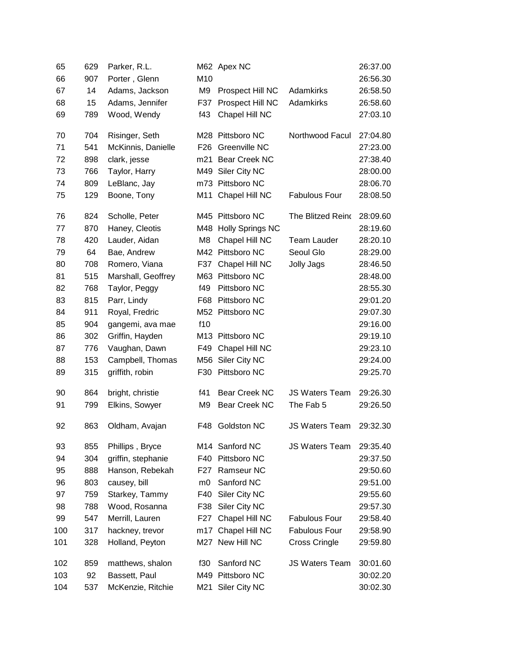| 65  | 629 | Parker, R.L.       |                 | M62 Apex NC          |                       | 26:37.00 |
|-----|-----|--------------------|-----------------|----------------------|-----------------------|----------|
| 66  | 907 | Porter, Glenn      | M10             |                      |                       | 26:56.30 |
| 67  | 14  | Adams, Jackson     | M <sub>9</sub>  | Prospect Hill NC     | Adamkirks             | 26:58.50 |
| 68  | 15  | Adams, Jennifer    | F37             | Prospect Hill NC     | Adamkirks             | 26:58.60 |
| 69  | 789 | Wood, Wendy        | f43             | Chapel Hill NC       |                       | 27:03.10 |
| 70  | 704 | Risinger, Seth     |                 | M28 Pittsboro NC     | Northwood Facul       | 27:04.80 |
| 71  | 541 | McKinnis, Danielle | F <sub>26</sub> | Greenville NC        |                       | 27:23.00 |
| 72  | 898 | clark, jesse       |                 | m21 Bear Creek NC    |                       | 27:38.40 |
| 73  | 766 | Taylor, Harry      | M49             | Siler City NC        |                       | 28:00.00 |
| 74  | 809 | LeBlanc, Jay       |                 | m73 Pittsboro NC     |                       | 28:06.70 |
| 75  | 129 | Boone, Tony        | M11             | Chapel Hill NC       | <b>Fabulous Four</b>  | 28:08.50 |
| 76  | 824 | Scholle, Peter     |                 | M45 Pittsboro NC     | The Blitzed Reino     | 28:09.60 |
| 77  | 870 | Haney, Cleotis     |                 | M48 Holly Springs NC |                       | 28:19.60 |
| 78  | 420 | Lauder, Aidan      | M <sub>8</sub>  | Chapel Hill NC       | <b>Team Lauder</b>    | 28:20.10 |
| 79  | 64  | Bae, Andrew        |                 | M42 Pittsboro NC     | Seoul Glo             | 28:29.00 |
| 80  | 708 | Romero, Viana      | F37             | Chapel Hill NC       | <b>Jolly Jags</b>     | 28:46.50 |
| 81  | 515 | Marshall, Geoffrey |                 | M63 Pittsboro NC     |                       | 28:48.00 |
| 82  | 768 | Taylor, Peggy      | f49             | Pittsboro NC         |                       | 28:55.30 |
| 83  | 815 | Parr, Lindy        | F68             | Pittsboro NC         |                       | 29:01.20 |
| 84  | 911 | Royal, Fredric     |                 | M52 Pittsboro NC     |                       | 29:07.30 |
| 85  | 904 | gangemi, ava mae   | f10             |                      |                       | 29:16.00 |
| 86  | 302 | Griffin, Hayden    |                 | M13 Pittsboro NC     |                       | 29:19.10 |
| 87  | 776 | Vaughan, Dawn      | F49             | Chapel Hill NC       |                       | 29:23.10 |
| 88  | 153 | Campbell, Thomas   | M56             | Siler City NC        |                       | 29:24.00 |
| 89  | 315 | griffith, robin    |                 | F30 Pittsboro NC     |                       | 29:25.70 |
| 90  | 864 | bright, christie   | f41             | <b>Bear Creek NC</b> | <b>JS Waters Team</b> | 29:26.30 |
| 91  | 799 | Elkins, Sowyer     | M9              | Bear Creek NC        | The Fab 5             | 29:26.50 |
| 92  | 863 | Oldham, Avajan     | F48             | Goldston NC          | JS Waters Team        | 29:32.30 |
| 93  | 855 | Phillips, Bryce    |                 | M14 Sanford NC       | <b>JS Waters Team</b> | 29:35.40 |
| 94  | 304 | griffin, stephanie | F40             | Pittsboro NC         |                       | 29:37.50 |
| 95  | 888 | Hanson, Rebekah    | F27             | Ramseur NC           |                       | 29:50.60 |
| 96  | 803 | causey, bill       | m <sub>0</sub>  | Sanford NC           |                       | 29:51.00 |
| 97  | 759 | Starkey, Tammy     | F40             | Siler City NC        |                       | 29:55.60 |
| 98  | 788 | Wood, Rosanna      | F38             | Siler City NC        |                       | 29:57.30 |
| 99  | 547 | Merrill, Lauren    | F27             | Chapel Hill NC       | <b>Fabulous Four</b>  | 29:58.40 |
| 100 | 317 | hackney, trevor    | m17             | Chapel Hill NC       | <b>Fabulous Four</b>  | 29:58.90 |
| 101 | 328 | Holland, Peyton    |                 | M27 New Hill NC      | <b>Cross Cringle</b>  | 29:59.80 |
| 102 | 859 | matthews, shalon   | f30             | Sanford NC           | <b>JS Waters Team</b> | 30:01.60 |
| 103 | 92  | Bassett, Paul      |                 | M49 Pittsboro NC     |                       | 30:02.20 |
| 104 | 537 | McKenzie, Ritchie  | M21             | Siler City NC        |                       | 30:02.30 |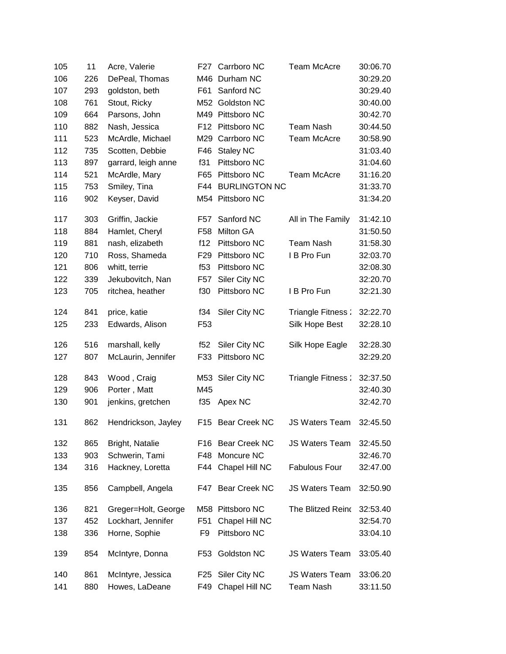| 105 | 11  | Acre, Valerie       | F27             | Carrboro NC          | <b>Team McAcre</b>    | 30:06.70 |
|-----|-----|---------------------|-----------------|----------------------|-----------------------|----------|
| 106 | 226 | DePeal, Thomas      | M46             | Durham NC            |                       | 30:29.20 |
| 107 | 293 | goldston, beth      | F61             | Sanford NC           |                       | 30:29.40 |
| 108 | 761 | Stout, Ricky        | M52             | Goldston NC          |                       | 30:40.00 |
| 109 | 664 | Parsons, John       |                 | M49 Pittsboro NC     |                       | 30:42.70 |
| 110 | 882 | Nash, Jessica       | F12             | Pittsboro NC         | <b>Team Nash</b>      | 30:44.50 |
| 111 | 523 | McArdle, Michael    | M29             | Carrboro NC          | <b>Team McAcre</b>    | 30:58.90 |
| 112 | 735 | Scotten, Debbie     | F46             | <b>Staley NC</b>     |                       | 31:03.40 |
| 113 | 897 | garrard, leigh anne | f31             | Pittsboro NC         |                       | 31:04.60 |
| 114 | 521 | McArdle, Mary       | F65             | Pittsboro NC         | <b>Team McAcre</b>    | 31:16.20 |
| 115 | 753 | Smiley, Tina        | F44             | <b>BURLINGTON NC</b> |                       | 31:33.70 |
| 116 | 902 | Keyser, David       |                 | M54 Pittsboro NC     |                       | 31:34.20 |
| 117 | 303 | Griffin, Jackie     | F57             | Sanford NC           | All in The Family     | 31:42.10 |
| 118 | 884 | Hamlet, Cheryl      | F58             | Milton GA            |                       | 31:50.50 |
| 119 | 881 | nash, elizabeth     | f12             | Pittsboro NC         | <b>Team Nash</b>      | 31:58.30 |
| 120 | 710 | Ross, Shameda       | F <sub>29</sub> | Pittsboro NC         | I B Pro Fun           | 32:03.70 |
| 121 | 806 | whitt, terrie       | f <sub>53</sub> | Pittsboro NC         |                       | 32:08.30 |
| 122 | 339 | Jekubovitch, Nan    | F <sub>57</sub> | Siler City NC        |                       | 32:20.70 |
| 123 | 705 | ritchea, heather    | f30             | Pittsboro NC         | I B Pro Fun           | 32:21.30 |
| 124 | 841 | price, katie        | f34             | Siler City NC        | Triangle Fitness:     | 32:22.70 |
| 125 | 233 | Edwards, Alison     | F <sub>53</sub> |                      | Silk Hope Best        | 32:28.10 |
| 126 | 516 | marshall, kelly     | f52             | Siler City NC        | Silk Hope Eagle       | 32:28.30 |
| 127 | 807 | McLaurin, Jennifer  | F33             | Pittsboro NC         |                       | 32:29.20 |
| 128 | 843 | Wood, Craig         |                 | M53 Siler City NC    | Triangle Fitness:     | 32:37.50 |
| 129 | 906 | Porter, Matt        | M45             |                      |                       | 32:40.30 |
| 130 | 901 | jenkins, gretchen   | f35             | Apex NC              |                       | 32:42.70 |
| 131 | 862 | Hendrickson, Jayley |                 | F15 Bear Creek NC    | <b>JS Waters Team</b> | 32:45.50 |
| 132 | 865 | Bright, Natalie     |                 | F16 Bear Creek NC    | <b>JS Waters Team</b> | 32:45.50 |
| 133 | 903 | Schwerin, Tami      | F48             | Moncure NC           |                       | 32:46.70 |
| 134 | 316 | Hackney, Loretta    | F44             | Chapel Hill NC       | <b>Fabulous Four</b>  | 32:47.00 |
| 135 | 856 | Campbell, Angela    |                 | F47 Bear Creek NC    | <b>JS Waters Team</b> | 32:50.90 |
| 136 | 821 | Greger=Holt, George | M58             | Pittsboro NC         | The Blitzed Reino     | 32:53.40 |
| 137 | 452 | Lockhart, Jennifer  | F <sub>51</sub> | Chapel Hill NC       |                       | 32:54.70 |
| 138 | 336 | Horne, Sophie       | F <sub>9</sub>  | Pittsboro NC         |                       | 33:04.10 |
| 139 | 854 | McIntyre, Donna     | F53             | Goldston NC          | <b>JS Waters Team</b> | 33:05.40 |
| 140 | 861 | McIntyre, Jessica   | F25             | Siler City NC        | <b>JS Waters Team</b> | 33:06.20 |
| 141 | 880 | Howes, LaDeane      | F49             | Chapel Hill NC       | <b>Team Nash</b>      | 33:11.50 |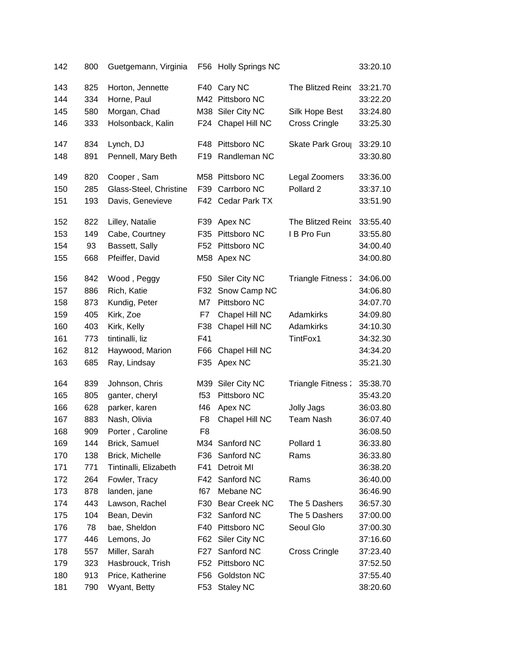| 142        | 800        | Guetgemann, Virginia            |                 | F56 Holly Springs NC            |                   | 33:20.10             |
|------------|------------|---------------------------------|-----------------|---------------------------------|-------------------|----------------------|
| 143<br>144 | 825<br>334 | Horton, Jennette<br>Horne, Paul |                 | F40 Cary NC<br>M42 Pittsboro NC | The Blitzed Reino | 33:21.70<br>33:22.20 |
| 145        | 580        | Morgan, Chad                    |                 | M38 Siler City NC               | Silk Hope Best    | 33:24.80             |
| 146        | 333        | Holsonback, Kalin               |                 | F24 Chapel Hill NC              | Cross Cringle     | 33:25.30             |
| 147        | 834        | Lynch, DJ                       | F48             | Pittsboro NC                    | Skate Park Grou   | 33:29.10             |
| 148        | 891        | Pennell, Mary Beth              | F19             | Randleman NC                    |                   | 33:30.80             |
| 149        | 820        | Cooper, Sam                     |                 | M58 Pittsboro NC                | Legal Zoomers     | 33:36.00             |
| 150        | 285        | Glass-Steel, Christine          | F39             | Carrboro NC                     | Pollard 2         | 33:37.10             |
| 151        | 193        | Davis, Genevieve                |                 | F42 Cedar Park TX               |                   | 33:51.90             |
| 152        | 822        | Lilley, Natalie                 | F39             | Apex NC                         | The Blitzed Reino | 33:55.40             |
| 153        | 149        | Cabe, Courtney                  | F35             | Pittsboro NC                    | I B Pro Fun       | 33:55.80             |
| 154        | 93         | Bassett, Sally                  |                 | F52 Pittsboro NC                |                   | 34:00.40             |
| 155        | 668        | Pfeiffer, David                 |                 | M58 Apex NC                     |                   | 34:00.80             |
| 156        | 842        | Wood, Peggy                     | F50             | Siler City NC                   | Triangle Fitness: | 34:06.00             |
| 157        | 886        | Rich, Katie                     | F32             | Snow Camp NC                    |                   | 34:06.80             |
| 158        | 873        | Kundig, Peter                   | M7              | Pittsboro NC                    |                   | 34:07.70             |
| 159        | 405        | Kirk, Zoe                       | F7              | Chapel Hill NC                  | Adamkirks         | 34:09.80             |
| 160        | 403        | Kirk, Kelly                     | F38             | Chapel Hill NC                  | Adamkirks         | 34:10.30             |
| 161        | 773        | tintinalli, liz                 | F41             |                                 | TintFox1          | 34:32.30             |
| 162        | 812        | Haywood, Marion                 | F66             | Chapel Hill NC                  |                   | 34:34.20             |
| 163        | 685        | Ray, Lindsay                    |                 | F35 Apex NC                     |                   | 35:21.30             |
| 164        | 839        | Johnson, Chris                  |                 | M39 Siler City NC               | Triangle Fitness: | 35:38.70             |
| 165        | 805        | ganter, cheryl                  | f <sub>53</sub> | Pittsboro NC                    |                   | 35:43.20             |
| 166        | 628        | parker, karen                   | f46             | Apex NC                         | Jolly Jags        | 36:03.80             |
| 167        | 883        | Nash, Olivia                    | F <sub>8</sub>  | Chapel Hill NC                  | <b>Team Nash</b>  | 36:07.40             |
| 168        | 909        | Porter, Caroline                | F <sub>8</sub>  |                                 |                   | 36:08.50             |
| 169        | 144        | Brick, Samuel                   |                 | M34 Sanford NC                  | Pollard 1         | 36:33.80             |
| 170        | 138        | Brick, Michelle                 | F36             | Sanford NC                      | Rams              | 36:33.80             |
| 171        | 771        | Tintinalli, Elizabeth           | F41             | Detroit MI                      |                   | 36:38.20             |
| 172        | 264        | Fowler, Tracy                   | F42             | Sanford NC                      | Rams              | 36:40.00             |
| 173        | 878        | landen, jane                    | f67             | Mebane NC                       |                   | 36:46.90             |
| 174        | 443        | Lawson, Rachel                  | F30             | <b>Bear Creek NC</b>            | The 5 Dashers     | 36:57.30             |
| 175        | 104        | Bean, Devin                     | F32             | Sanford NC                      | The 5 Dashers     | 37:00.00             |
| 176        | 78         | bae, Sheldon                    | F40             | Pittsboro NC                    | Seoul Glo         | 37:00.30             |
| 177        | 446        | Lemons, Jo                      | F62             | Siler City NC                   |                   | 37:16.60             |
| 178        | 557        | Miller, Sarah                   | F27             | Sanford NC                      | Cross Cringle     | 37:23.40             |
| 179        | 323        | Hasbrouck, Trish                | F52             | Pittsboro NC                    |                   | 37:52.50             |
| 180        | 913        | Price, Katherine                | F56             | Goldston NC                     |                   | 37:55.40             |
| 181        | 790        | Wyant, Betty                    |                 | F53 Staley NC                   |                   | 38:20.60             |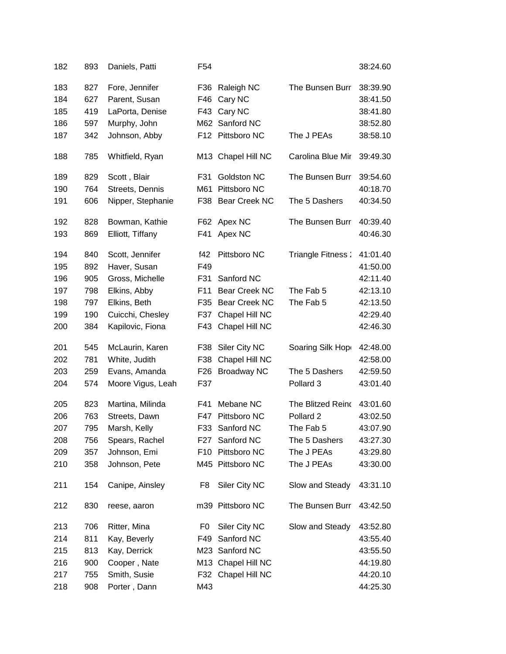| 182 | 893 | Daniels, Patti    | F54 |                    |                      | 38:24.60 |
|-----|-----|-------------------|-----|--------------------|----------------------|----------|
| 183 | 827 | Fore, Jennifer    | F36 | Raleigh NC         | The Bunsen Burr      | 38:39.90 |
| 184 | 627 | Parent, Susan     | F46 | Cary NC            |                      | 38:41.50 |
| 185 | 419 | LaPorta, Denise   | F43 | Cary NC            |                      | 38:41.80 |
| 186 | 597 | Murphy, John      |     | M62 Sanford NC     |                      | 38:52.80 |
| 187 | 342 | Johnson, Abby     |     | F12 Pittsboro NC   | The J PEAs           | 38:58.10 |
| 188 | 785 | Whitfield, Ryan   |     | M13 Chapel Hill NC | Carolina Blue Mir    | 39:49.30 |
| 189 | 829 | Scott, Blair      | F31 | Goldston NC        | The Bunsen Burr      | 39:54.60 |
| 190 | 764 | Streets, Dennis   |     | M61 Pittsboro NC   |                      | 40:18.70 |
| 191 | 606 | Nipper, Stephanie |     | F38 Bear Creek NC  | The 5 Dashers        | 40:34.50 |
| 192 | 828 | Bowman, Kathie    | F62 | Apex NC            | The Bunsen Burr      | 40:39.40 |
| 193 | 869 | Elliott, Tiffany  | F41 | Apex NC            |                      | 40:46.30 |
| 194 | 840 | Scott, Jennifer   | f42 | Pittsboro NC       | Triangle Fitness:    | 41:01.40 |
| 195 | 892 | Haver, Susan      | F49 |                    |                      | 41:50.00 |
| 196 | 905 | Gross, Michelle   | F31 | Sanford NC         |                      | 42:11.40 |
| 197 | 798 | Elkins, Abby      | F11 | Bear Creek NC      | The Fab 5            | 42:13.10 |
| 198 | 797 | Elkins, Beth      | F35 | Bear Creek NC      | The Fab 5            | 42:13.50 |
| 199 | 190 | Cuicchi, Chesley  | F37 | Chapel Hill NC     |                      | 42:29.40 |
| 200 | 384 | Kapilovic, Fiona  | F43 | Chapel Hill NC     |                      | 42:46.30 |
| 201 | 545 | McLaurin, Karen   | F38 | Siler City NC      | Soaring Silk Hop     | 42:48.00 |
| 202 | 781 | White, Judith     | F38 | Chapel Hill NC     |                      | 42:58.00 |
| 203 | 259 | Evans, Amanda     | F26 | <b>Broadway NC</b> | The 5 Dashers        | 42:59.50 |
| 204 | 574 | Moore Vigus, Leah | F37 |                    | Pollard 3            | 43:01.40 |
| 205 | 823 | Martina, Milinda  | F41 | Mebane NC          | The Blitzed Reino    | 43:01.60 |
| 206 | 763 | Streets, Dawn     | F47 | Pittsboro NC       | Pollard <sub>2</sub> | 43:02.50 |
| 207 | 795 | Marsh, Kelly      | F33 | Sanford NC         | The Fab 5            | 43:07.90 |
| 208 | 756 | Spears, Rachel    | F27 | Sanford NC         | The 5 Dashers        | 43:27.30 |
| 209 | 357 | Johnson, Emi      |     | F10 Pittsboro NC   | The J PEAs           | 43:29.80 |
| 210 | 358 | Johnson, Pete     |     | M45 Pittsboro NC   | The J PEAs           | 43:30.00 |
| 211 | 154 | Canipe, Ainsley   | F8  | Siler City NC      | Slow and Steady      | 43:31.10 |
| 212 | 830 | reese, aaron      |     | m39 Pittsboro NC   | The Bunsen Burr      | 43:42.50 |
| 213 | 706 | Ritter, Mina      | F0  | Siler City NC      | Slow and Steady      | 43:52.80 |
| 214 | 811 | Kay, Beverly      | F49 | Sanford NC         |                      | 43:55.40 |
| 215 | 813 | Kay, Derrick      |     | M23 Sanford NC     |                      | 43:55.50 |
| 216 | 900 | Cooper, Nate      |     | M13 Chapel Hill NC |                      | 44:19.80 |
| 217 | 755 | Smith, Susie      | F32 | Chapel Hill NC     |                      | 44:20.10 |
| 218 | 908 | Porter, Dann      | M43 |                    |                      | 44:25.30 |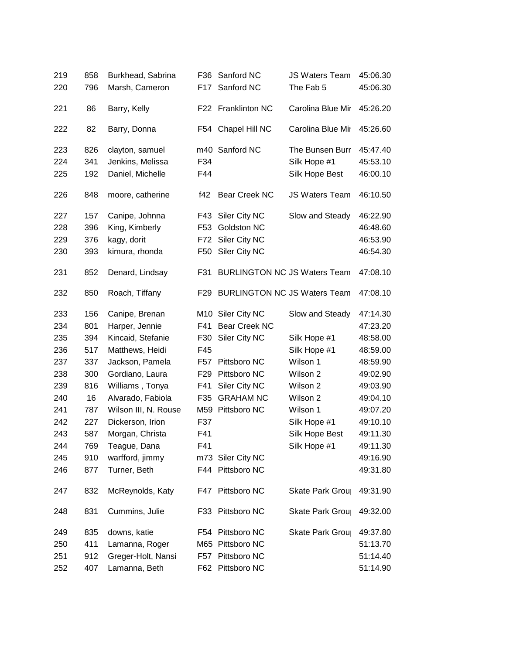| 219 | 858 | Burkhead, Sabrina    | F36 | Sanford NC                          | <b>JS Waters Team</b> | 45:06.30 |
|-----|-----|----------------------|-----|-------------------------------------|-----------------------|----------|
| 220 | 796 | Marsh, Cameron       | F17 | Sanford NC                          | The Fab 5             | 45:06.30 |
| 221 | 86  | Barry, Kelly         |     | F22 Franklinton NC                  | Carolina Blue Mir     | 45:26.20 |
| 222 | 82  | Barry, Donna         |     | F54 Chapel Hill NC                  | Carolina Blue Mir     | 45:26.60 |
| 223 | 826 | clayton, samuel      |     | m40 Sanford NC                      | The Bunsen Burr       | 45:47.40 |
| 224 | 341 | Jenkins, Melissa     | F34 |                                     | Silk Hope #1          | 45:53.10 |
| 225 | 192 | Daniel, Michelle     | F44 |                                     | Silk Hope Best        | 46:00.10 |
| 226 | 848 | moore, catherine     | f42 | Bear Creek NC                       | <b>JS Waters Team</b> | 46:10.50 |
| 227 | 157 | Canipe, Johnna       | F43 | Siler City NC                       | Slow and Steady       | 46:22.90 |
| 228 | 396 | King, Kimberly       | F53 | Goldston NC                         |                       | 46:48.60 |
| 229 | 376 | kagy, dorit          | F72 | Siler City NC                       |                       | 46:53.90 |
| 230 | 393 | kimura, rhonda       | F50 | Siler City NC                       |                       | 46:54.30 |
| 231 | 852 | Denard, Lindsay      | F31 | <b>BURLINGTON NC JS Waters Team</b> |                       | 47:08.10 |
| 232 | 850 | Roach, Tiffany       |     | F29 BURLINGTON NC JS Waters Team    |                       | 47:08.10 |
| 233 | 156 | Canipe, Brenan       |     | M10 Siler City NC                   | Slow and Steady       | 47:14.30 |
| 234 | 801 | Harper, Jennie       | F41 | <b>Bear Creek NC</b>                |                       | 47:23.20 |
| 235 | 394 | Kincaid, Stefanie    | F30 | Siler City NC                       | Silk Hope #1          | 48:58.00 |
| 236 | 517 | Matthews, Heidi      | F45 |                                     | Silk Hope #1          | 48:59.00 |
| 237 | 337 | Jackson, Pamela      | F57 | Pittsboro NC                        | Wilson 1              | 48:59.90 |
| 238 | 300 | Gordiano, Laura      | F29 | Pittsboro NC                        | Wilson 2              | 49:02.90 |
| 239 | 816 | Williams, Tonya      | F41 | Siler City NC                       | Wilson 2              | 49:03.90 |
| 240 | 16  | Alvarado, Fabiola    | F35 | <b>GRAHAM NC</b>                    | Wilson 2              | 49:04.10 |
| 241 | 787 | Wilson III, N. Rouse |     | M59 Pittsboro NC                    | Wilson 1              | 49:07.20 |
| 242 | 227 | Dickerson, Irion     | F37 |                                     | Silk Hope #1          | 49:10.10 |
| 243 | 587 | Morgan, Christa      | F41 |                                     | Silk Hope Best        | 49:11.30 |
| 244 | 769 | Teague, Dana         | F41 |                                     | Silk Hope #1          | 49:11.30 |
| 245 | 910 | warfford, jimmy      |     | m73 Siler City NC                   |                       | 49:16.90 |
| 246 | 877 | Turner, Beth         |     | F44 Pittsboro NC                    |                       | 49:31.80 |
| 247 | 832 | McReynolds, Katy     |     | F47 Pittsboro NC                    | Skate Park Grou       | 49:31.90 |
| 248 | 831 | Cummins, Julie       |     | F33 Pittsboro NC                    | Skate Park Grou       | 49:32.00 |
| 249 | 835 | downs, katie         |     | F54 Pittsboro NC                    | Skate Park Grou       | 49:37.80 |
| 250 | 411 | Lamanna, Roger       |     | M65 Pittsboro NC                    |                       | 51:13.70 |
| 251 | 912 | Greger-Holt, Nansi   |     | F57 Pittsboro NC                    |                       | 51:14.40 |
| 252 | 407 | Lamanna, Beth        |     | F62 Pittsboro NC                    |                       | 51:14.90 |